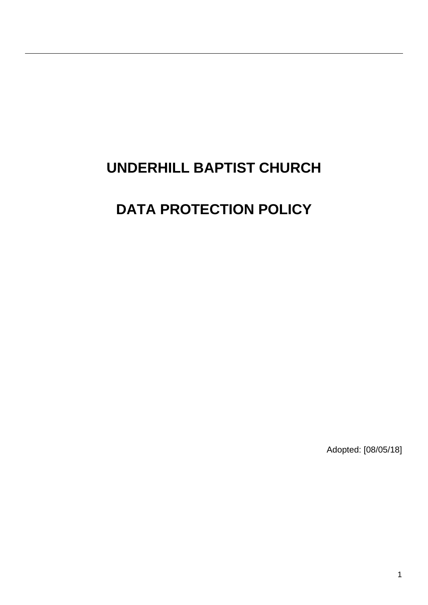# **UNDERHILL BAPTIST CHURCH**

# **DATA PROTECTION POLICY**

Adopted: [08/05/18]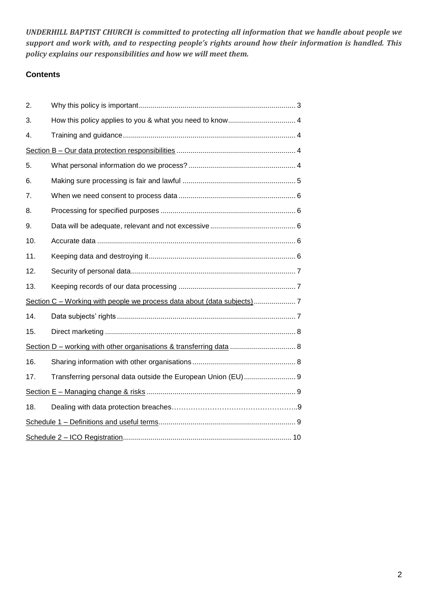*UNDERHILL BAPTIST CHURCH is committed to protecting all information that we handle about people we support and work with, and to respecting people's rights around how their information is handled. This policy explains our responsibilities and how we will meet them.*

# **Contents**

| 2.                                                                     |                                                              |  |
|------------------------------------------------------------------------|--------------------------------------------------------------|--|
| 3.                                                                     |                                                              |  |
| 4.                                                                     |                                                              |  |
|                                                                        |                                                              |  |
| 5.                                                                     |                                                              |  |
| 6.                                                                     |                                                              |  |
| 7.                                                                     |                                                              |  |
| 8.                                                                     |                                                              |  |
| 9.                                                                     |                                                              |  |
| 10.                                                                    |                                                              |  |
| 11.                                                                    |                                                              |  |
| 12.                                                                    |                                                              |  |
| 13.                                                                    |                                                              |  |
| Section C - Working with people we process data about (data subjects)7 |                                                              |  |
| 14.                                                                    |                                                              |  |
| 15.                                                                    |                                                              |  |
|                                                                        |                                                              |  |
| 16.                                                                    |                                                              |  |
| 17.                                                                    | Transferring personal data outside the European Union (EU) 9 |  |
|                                                                        |                                                              |  |
| 18.                                                                    |                                                              |  |
|                                                                        |                                                              |  |
|                                                                        |                                                              |  |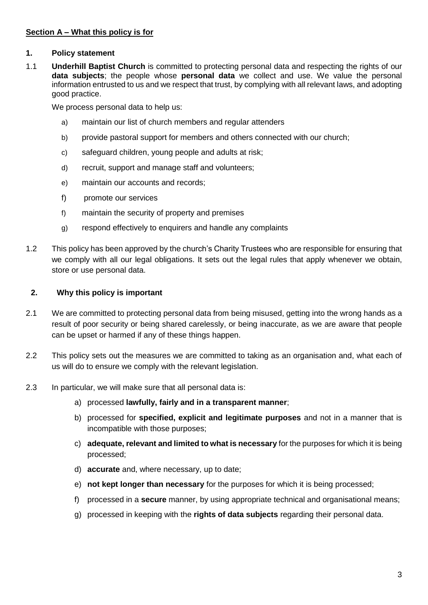# **Section A – What this policy is for**

## **1. Policy statement**

1.1 **Underhill Baptist Church** is committed to protecting personal data and respecting the rights of our **data subjects**; the people whose **personal data** we collect and use. We value the personal information entrusted to us and we respect that trust, by complying with all relevant laws, and adopting good practice.

We process personal data to help us:

- a) maintain our list of church members and regular attenders
- b) provide pastoral support for members and others connected with our church;
- c) safeguard children, young people and adults at risk;
- d) recruit, support and manage staff and volunteers;
- e) maintain our accounts and records;
- f) promote our services
- f) maintain the security of property and premises
- g) respond effectively to enquirers and handle any complaints
- 1.2 This policy has been approved by the church's Charity Trustees who are responsible for ensuring that we comply with all our legal obligations. It sets out the legal rules that apply whenever we obtain, store or use personal data.

## **2. Why this policy is important**

- 2.1 We are committed to protecting personal data from being misused, getting into the wrong hands as a result of poor security or being shared carelessly, or being inaccurate, as we are aware that people can be upset or harmed if any of these things happen.
- 2.2 This policy sets out the measures we are committed to taking as an organisation and, what each of us will do to ensure we comply with the relevant legislation.
- 2.3 In particular, we will make sure that all personal data is:
	- a) processed **lawfully, fairly and in a transparent manner**;
	- b) processed for **specified, explicit and legitimate purposes** and not in a manner that is incompatible with those purposes;
	- c) **adequate, relevant and limited to what is necessary** for the purposes for which it is being processed;
	- d) **accurate** and, where necessary, up to date;
	- e) **not kept longer than necessary** for the purposes for which it is being processed;
	- f) processed in a **secure** manner, by using appropriate technical and organisational means;
	- g) processed in keeping with the **rights of data subjects** regarding their personal data.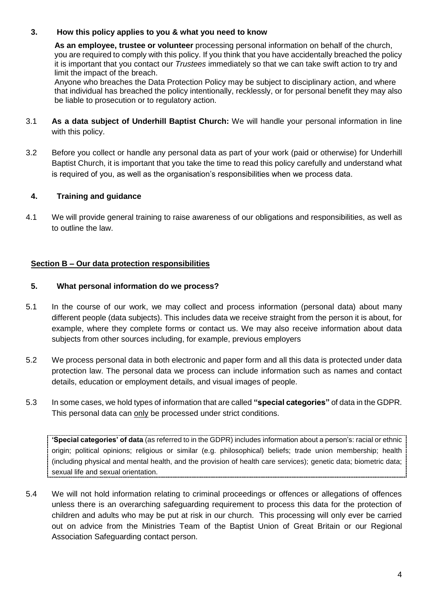## **3. How this policy applies to you & what you need to know**

 **As an employee, trustee or volunteer** processing personal information on behalf of the church, you are required to comply with this policy. If you think that you have accidentally breached the policy it is important that you contact our *Trustees* immediately so that we can take swift action to try and limit the impact of the breach.

 Anyone who breaches the Data Protection Policy may be subject to disciplinary action, and where that individual has breached the policy intentionally, recklessly, or for personal benefit they may also be liable to prosecution or to regulatory action.

- 3.1 **As a data subject of Underhill Baptist Church:** We will handle your personal information in line with this policy.
- 3.2 Before you collect or handle any personal data as part of your work (paid or otherwise) for Underhill Baptist Church, it is important that you take the time to read this policy carefully and understand what is required of you, as well as the organisation's responsibilities when we process data.

# **4. Training and guidance**

4.1 We will provide general training to raise awareness of our obligations and responsibilities, as well as to outline the law.

# **Section B – Our data protection responsibilities**

# **5. What personal information do we process?**

- 5.1 In the course of our work, we may collect and process information (personal data) about many different people (data subjects). This includes data we receive straight from the person it is about, for example, where they complete forms or contact us. We may also receive information about data subjects from other sources including, for example, previous employers
- 5.2 We process personal data in both electronic and paper form and all this data is protected under data protection law. The personal data we process can include information such as names and contact details, education or employment details, and visual images of people.
- 5.3 In some cases, we hold types of information that are called **"special categories"** of data in the GDPR. This personal data can only be processed under strict conditions.

**'Special categories' of data** (as referred to in the GDPR) includes information about a person's: racial or ethnic origin; political opinions; religious or similar (e.g. philosophical) beliefs; trade union membership; health (including physical and mental health, and the provision of health care services); genetic data; biometric data; sexual life and sexual orientation.

5.4 We will not hold information relating to criminal proceedings or offences or allegations of offences unless there is an overarching safeguarding requirement to process this data for the protection of children and adults who may be put at risk in our church. This processing will only ever be carried out on advice from the Ministries Team of the Baptist Union of Great Britain or our Regional Association Safeguarding contact person.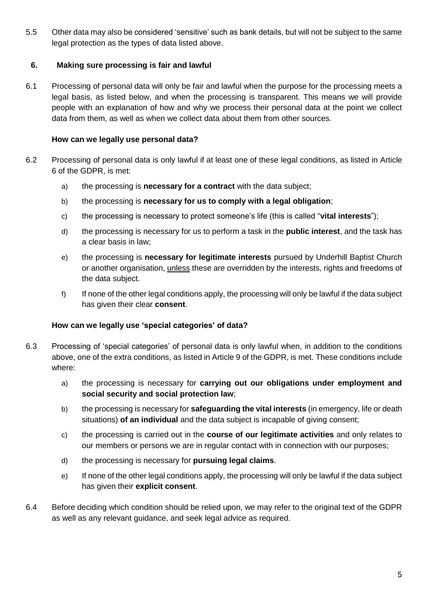5.5 Other data may also be considered 'sensitive' such as bank details, but will not be subject to the same legal protection as the types of data listed above.

# **6. Making sure processing is fair and lawful**

6.1 Processing of personal data will only be fair and lawful when the purpose for the processing meets a legal basis, as listed below, and when the processing is transparent. This means we will provide people with an explanation of how and why we process their personal data at the point we collect data from them, as well as when we collect data about them from other sources.

# **How can we legally use personal data?**

- 6.2 Processing of personal data is only lawful if at least one of these legal conditions, as listed in Article 6 of the GDPR, is met:
	- a) the processing is **necessary for a contract** with the data subject;
	- b) the processing is **necessary for us to comply with a legal obligation**;
	- c) the processing is necessary to protect someone's life (this is called "**vital interests**");
	- d) the processing is necessary for us to perform a task in the **public interest**, and the task has a clear basis in law;
	- e) the processing is **necessary for legitimate interests** pursued by Underhill Baptist Church or another organisation, unless these are overridden by the interests, rights and freedoms of the data subject.
	- f) If none of the other legal conditions apply, the processing will only be lawful if the data subject has given their clear **consent**.

#### **How can we legally use 'special categories' of data?**

- 6.3 Processing of 'special categories' of personal data is only lawful when, in addition to the conditions above, one of the extra conditions, as listed in Article 9 of the GDPR, is met. These conditions include where:
	- a) the processing is necessary for **carrying out our obligations under employment and social security and social protection law**;
	- b) the processing is necessary for **safeguarding the vital interests** (in emergency, life or death situations) **of an individual** and the data subject is incapable of giving consent;
	- c) the processing is carried out in the **course of our legitimate activities** and only relates to our members or persons we are in regular contact with in connection with our purposes;
	- d) the processing is necessary for **pursuing legal claims**.
	- e) If none of the other legal conditions apply, the processing will only be lawful if the data subject has given their **explicit consent**.
- 6.4 Before deciding which condition should be relied upon, we may refer to the original text of the GDPR as well as any relevant guidance, and seek legal advice as required.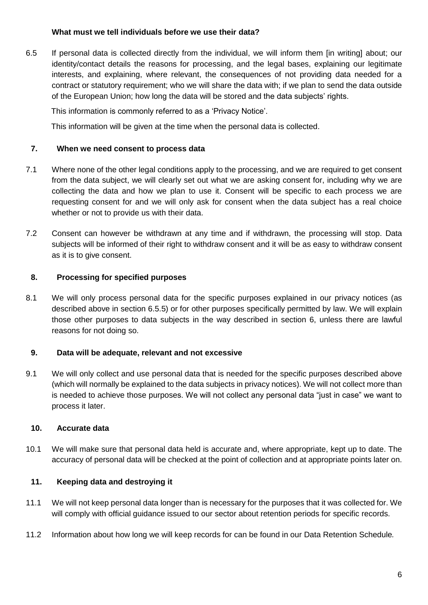## **What must we tell individuals before we use their data?**

<span id="page-5-0"></span>6.5 If personal data is collected directly from the individual, we will inform them [in writing] about; our identity/contact details the reasons for processing, and the legal bases, explaining our legitimate interests, and explaining, where relevant, the consequences of not providing data needed for a contract or statutory requirement; who we will share the data with; if we plan to send the data outside of the European Union; how long the data will be stored and the data subjects' rights.

This information is commonly referred to as a 'Privacy Notice'.

This information will be given at the time when the personal data is collected.

### **7. When we need consent to process data**

- 7.1 Where none of the other legal conditions apply to the processing, and we are required to get consent from the data subject, we will clearly set out what we are asking consent for, including why we are collecting the data and how we plan to use it. Consent will be specific to each process we are requesting consent for and we will only ask for consent when the data subject has a real choice whether or not to provide us with their data.
- 7.2 Consent can however be withdrawn at any time and if withdrawn, the processing will stop. Data subjects will be informed of their right to withdraw consent and it will be as easy to withdraw consent as it is to give consent.

## **8. Processing for specified purposes**

8.1 We will only process personal data for the specific purposes explained in our privacy notices (as described above in section [6.5.](#page-5-0)5) or for other purposes specifically permitted by law. We will explain those other purposes to data subjects in the way described in section 6, unless there are lawful reasons for not doing so.

#### **9. Data will be adequate, relevant and not excessive**

9.1 We will only collect and use personal data that is needed for the specific purposes described above (which will normally be explained to the data subjects in privacy notices). We will not collect more than is needed to achieve those purposes. We will not collect any personal data "just in case" we want to process it later.

#### **10. Accurate data**

10.1 We will make sure that personal data held is accurate and, where appropriate, kept up to date. The accuracy of personal data will be checked at the point of collection and at appropriate points later on.

#### **11. Keeping data and destroying it**

- 11.1 We will not keep personal data longer than is necessary for the purposes that it was collected for. We will comply with official guidance issued to our sector about retention periods for specific records.
- 11.2 Information about how long we will keep records for can be found in our Data Retention Schedule*.*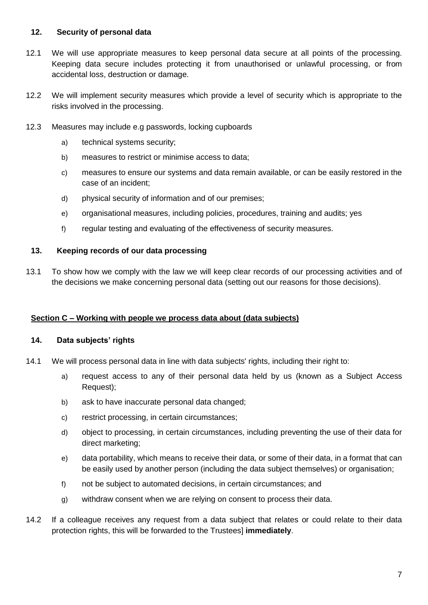# **12. Security of personal data**

- 12.1 We will use appropriate measures to keep personal data secure at all points of the processing. Keeping data secure includes protecting it from unauthorised or unlawful processing, or from accidental loss, destruction or damage.
- 12.2 We will implement security measures which provide a level of security which is appropriate to the risks involved in the processing.
- 12.3 Measures may include e.g passwords, locking cupboards
	- a) technical systems security;
	- b) measures to restrict or minimise access to data;
	- c) measures to ensure our systems and data remain available, or can be easily restored in the case of an incident;
	- d) physical security of information and of our premises;
	- e) organisational measures, including policies, procedures, training and audits; yes
	- f) regular testing and evaluating of the effectiveness of security measures.

## **13. Keeping records of our data processing**

13.1 To show how we comply with the law we will keep clear records of our processing activities and of the decisions we make concerning personal data (setting out our reasons for those decisions).

# **Section C – Working with people we process data about (data subjects)**

#### **14. Data subjects' rights**

- 14.1 We will process personal data in line with data subjects' rights, including their right to:
	- a) request access to any of their personal data held by us (known as a Subject Access Request);
	- b) ask to have inaccurate personal data changed;
	- c) restrict processing, in certain circumstances;
	- d) object to processing, in certain circumstances, including preventing the use of their data for direct marketing;
	- e) data portability, which means to receive their data, or some of their data, in a format that can be easily used by another person (including the data subject themselves) or organisation;
	- f) not be subject to automated decisions, in certain circumstances; and
	- g) withdraw consent when we are relying on consent to process their data.
- 14.2 If a colleague receives any request from a data subject that relates or could relate to their data protection rights, this will be forwarded to the Trustees] **immediately**.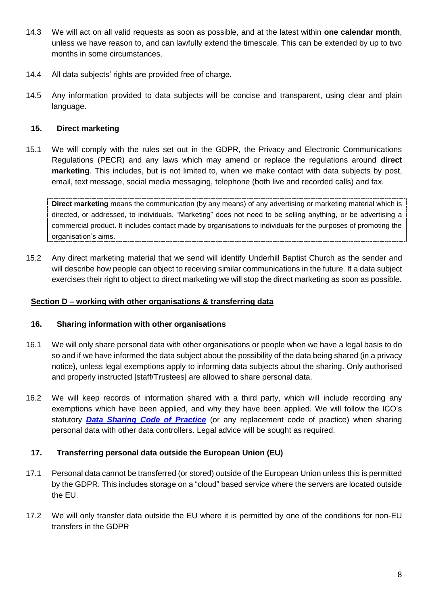- 14.3 We will act on all valid requests as soon as possible, and at the latest within **one calendar month**, unless we have reason to, and can lawfully extend the timescale. This can be extended by up to two months in some circumstances.
- 14.4 All data subjects' rights are provided free of charge.
- 14.5 Any information provided to data subjects will be concise and transparent, using clear and plain language.

## **15. Direct marketing**

15.1 We will comply with the rules set out in the GDPR, the Privacy and Electronic Communications Regulations (PECR) and any laws which may amend or replace the regulations around **direct marketing**. This includes, but is not limited to, when we make contact with data subjects by post, email, text message, social media messaging, telephone (both live and recorded calls) and fax.

**Direct marketing** means the communication (by any means) of any advertising or marketing material which is directed, or addressed, to individuals. "Marketing" does not need to be selling anything, or be advertising a commercial product. It includes contact made by organisations to individuals for the purposes of promoting the organisation's aims.

15.2 Any direct marketing material that we send will identify Underhill Baptist Church as the sender and will describe how people can object to receiving similar communications in the future. If a data subject exercises their right to object to direct marketing we will stop the direct marketing as soon as possible.

### **Section D – working with other organisations & transferring data**

#### **16. Sharing information with other organisations**

- 16.1 We will only share personal data with other organisations or people when we have a legal basis to do so and if we have informed the data subject about the possibility of the data being shared (in a privacy notice), unless legal exemptions apply to informing data subjects about the sharing. Only authorised and properly instructed [staff/Trustees] are allowed to share personal data.
- 16.2 We will keep records of information shared with a third party, which will include recording any exemptions which have been applied, and why they have been applied. We will follow the ICO's statutory *[Data Sharing Code of Practice](https://ico.org.uk/media/for-organisations/.../data_sharing_code_of_practice.pdf)* (or any replacement code of practice) when sharing personal data with other data controllers. Legal advice will be sought as required.

# **17. Transferring personal data outside the European Union (EU)**

- 17.1 Personal data cannot be transferred (or stored) outside of the European Union unless this is permitted by the GDPR. This includes storage on a "cloud" based service where the servers are located outside the EU.
- 17.2 We will only transfer data outside the EU where it is permitted by one of the conditions for non-EU transfers in the GDPR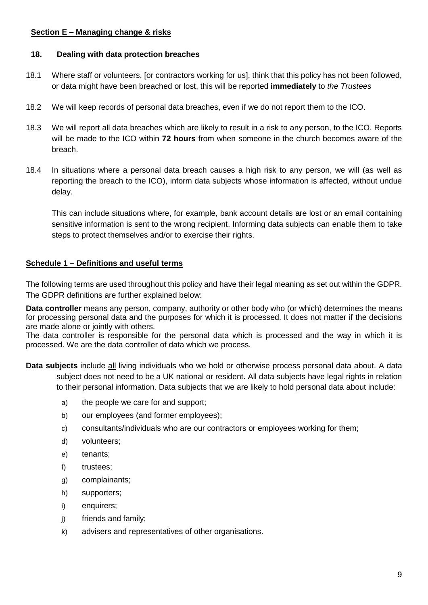# **Section E – Managing change & risks**

## **18. Dealing with data protection breaches**

- 18.1 Where staff or volunteers, [or contractors working for us], think that this policy has not been followed, or data might have been breached or lost, this will be reported **immediately** to *the Trustees*
- 18.2 We will keep records of personal data breaches, even if we do not report them to the ICO.
- 18.3 We will report all data breaches which are likely to result in a risk to any person, to the ICO. Reports will be made to the ICO within **72 hours** from when someone in the church becomes aware of the breach.
- 18.4 In situations where a personal data breach causes a high risk to any person, we will (as well as reporting the breach to the ICO), inform data subjects whose information is affected, without undue delay.

This can include situations where, for example, bank account details are lost or an email containing sensitive information is sent to the wrong recipient. Informing data subjects can enable them to take steps to protect themselves and/or to exercise their rights.

# **Schedule 1 – Definitions and useful terms**

The following terms are used throughout this policy and have their legal meaning as set out within the GDPR. The GDPR definitions are further explained below:

**Data controller** means any person, company, authority or other body who (or which) determines the means for processing personal data and the purposes for which it is processed. It does not matter if the decisions are made alone or jointly with others.

The data controller is responsible for the personal data which is processed and the way in which it is processed. We are the data controller of data which we process.

**Data subjects** include all living individuals who we hold or otherwise process personal data about. A data subject does not need to be a UK national or resident. All data subjects have legal rights in relation to their personal information. Data subjects that we are likely to hold personal data about include:

- a) the people we care for and support;
- b) our employees (and former employees);
- c) consultants/individuals who are our contractors or employees working for them;
- d) volunteers;
- e) tenants;
- f) trustees;
- g) complainants;
- h) supporters;
- i) enquirers;
- j) friends and family;
- k) advisers and representatives of other organisations.